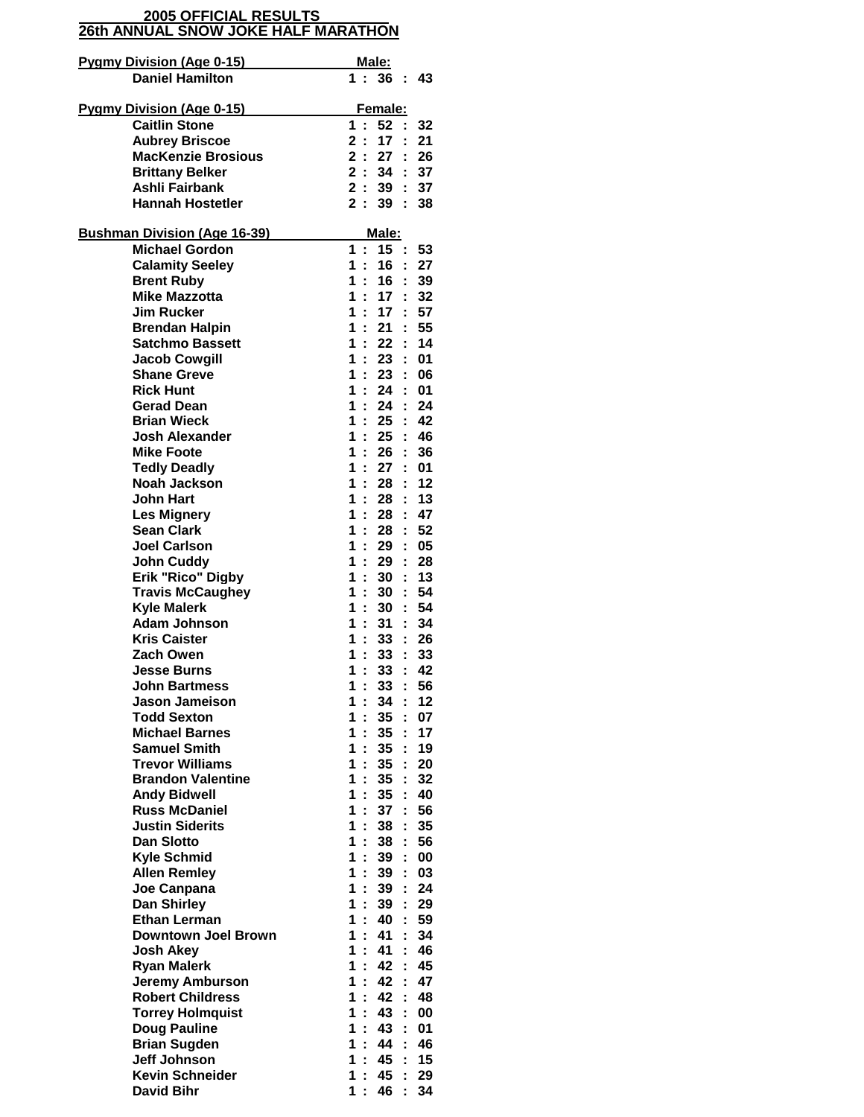## **26th ANNUAL SNOW JOKE HALF MARATHON 2005 OFFICIAL RESULTS**

| <b>Daniel Hamilton</b><br>1:36:<br>43<br><b>Pygmy Division (Age 0-15)</b><br>Female:<br><b>Caitlin Stone</b><br>52:<br>1:<br>32<br>17:<br>21<br><b>Aubrey Briscoe</b><br>2 :<br><b>MacKenzie Brosious</b><br>2:<br>: 26<br>27<br><b>Brittany Belker</b><br>2:<br>34<br>: 37<br>2:<br>Ashli Fairbank<br>39<br>37<br>2:<br><b>Hannah Hostetler</b><br>39<br>÷.<br>38<br>Male:<br><b>Bushman Division (Age 16-39)</b><br><b>Michael Gordon</b><br>1<br>15<br>÷<br>÷.<br>53<br><b>Calamity Seeley</b><br>16<br>1<br>: 27<br>÷<br>39<br><b>Brent Ruby</b><br>1<br>$\mathcal{L}$<br>16<br>$\mathbb{R}^2$<br><b>Mike Mazzotta</b><br>1.<br>17 <sup>17</sup><br>32<br>÷.<br>57<br><b>Jim Rucker</b><br>1<br>$\mathcal{L}^{\pm}$<br>17<br>t.<br>55<br><b>Brendan Halpin</b><br>1<br>21<br>÷.<br>÷.<br><b>Satchmo Bassett</b><br>14<br>1<br>22<br>1<br>23<br>: 01<br><b>Jacob Cowgill</b><br>÷<br>: 06<br><b>Shane Greve</b><br>1<br>÷<br>23<br>÷.<br><b>Rick Hunt</b><br>1<br>24<br>: 01<br>1<br>÷.<br>24<br>÷.<br>24<br>Gerad Dean<br>42<br><b>Brian Wieck</b><br>1<br>÷.<br>25:<br>46<br><b>Josh Alexander</b><br>1:<br>25<br>÷.<br><b>Mike Foote</b><br>26<br>36<br>1<br>÷<br><b>Tedly Deadly</b><br>1<br>÷<br>27<br>01<br>t.<br><b>Noah Jackson</b><br>1<br>÷<br>12<br>28<br>÷<br><b>John Hart</b><br>1<br>÷.<br>28<br>: 13<br>47<br><b>Les Mignery</b><br>1<br>÷.<br>28<br>÷.<br><b>Sean Clark</b><br>1<br>28<br>52<br>÷<br>÷.<br><b>Joel Carlson</b><br>1<br>29<br>05<br>28<br><b>John Cuddy</b><br>1<br>29<br>÷<br>t.<br>Erik "Rico" Digby<br>÷.<br>30<br>: 13<br>1<br>1<br>÷<br>30<br>54<br><b>Travis McCaughey</b><br>÷.<br><b>Kyle Malerk</b><br>$\therefore$ 54<br>1<br>÷.<br>30 <sup>°</sup><br><b>Adam Johnson</b><br>34<br>1<br>31<br>÷.<br>1<br>33<br>: 26<br><b>Kris Caister</b><br>÷<br>Zach Owen<br>1<br>÷<br>33<br>33<br>t.<br>1<br>÷<br>33<br>42<br><b>Jesse Burns</b><br>÷<br><b>John Bartmess</b><br>56<br>1<br>33<br>t<br><b>Jason Jameison</b><br>12<br>1<br>÷<br>34<br>÷<br><b>Todd Sexton</b><br>07<br>1<br>35<br>÷<br>÷<br><b>Michael Barnes</b><br>35<br>17<br>1.<br>÷<br>÷<br><b>Samuel Smith</b><br>35<br>19<br>1<br>÷<br>÷<br><b>Trevor Williams</b><br>35 <sub>2</sub><br>20<br>1<br>÷<br>÷<br><b>Brandon Valentine</b><br>1<br>Ì.<br>35<br>32<br>t<br><b>Andy Bidwell</b><br>1<br>÷<br>35<br>40<br>÷<br>56<br><b>Russ McDaniel</b><br>1<br>37<br>÷<br>÷<br><b>Justin Siderits</b><br>35<br>1<br>38<br>÷<br>÷<br>56<br><b>Dan Slotto</b><br>1<br>÷<br>38<br>÷<br><b>Kyle Schmid</b><br>39<br>00<br>1<br>÷<br>÷<br>1<br>÷<br>39<br>03<br><b>Allen Remley</b><br>÷<br>Joe Canpana<br>1<br>ř.<br>39<br>24<br>÷<br>39<br>29<br>Dan Shirley<br>1<br>÷<br>÷.<br>40<br>59<br><b>Ethan Lerman</b><br>1<br>ř.<br>t<br><b>Downtown Joel Brown</b><br>34<br>1<br>÷<br>41<br>41<br>46<br><b>Josh Akey</b><br>1<br>÷<br>t<br>÷<br>42<br>45<br><b>Ryan Malerk</b><br>1<br>t<br><b>Jeremy Amburson</b><br>1<br>÷<br>42<br>Ì.<br>47<br><b>Robert Childress</b><br>42<br>48<br>1<br>÷<br>÷<br>43<br><b>Torrey Holmquist</b><br>1<br>00<br>÷<br>÷<br><b>Doug Pauline</b><br>43<br>1<br>÷<br>01<br>t<br>46<br><b>Brian Sugden</b><br>1<br>÷<br>44<br>÷<br><b>Jeff Johnson</b><br>45<br>15<br>1<br>÷<br>t<br><b>Kevin Schneider</b><br>1<br>÷<br>45<br>29<br>ř. | <b>Pygmy Division (Age 0-15)</b> | <u> Male:</u>            |
|--------------------------------------------------------------------------------------------------------------------------------------------------------------------------------------------------------------------------------------------------------------------------------------------------------------------------------------------------------------------------------------------------------------------------------------------------------------------------------------------------------------------------------------------------------------------------------------------------------------------------------------------------------------------------------------------------------------------------------------------------------------------------------------------------------------------------------------------------------------------------------------------------------------------------------------------------------------------------------------------------------------------------------------------------------------------------------------------------------------------------------------------------------------------------------------------------------------------------------------------------------------------------------------------------------------------------------------------------------------------------------------------------------------------------------------------------------------------------------------------------------------------------------------------------------------------------------------------------------------------------------------------------------------------------------------------------------------------------------------------------------------------------------------------------------------------------------------------------------------------------------------------------------------------------------------------------------------------------------------------------------------------------------------------------------------------------------------------------------------------------------------------------------------------------------------------------------------------------------------------------------------------------------------------------------------------------------------------------------------------------------------------------------------------------------------------------------------------------------------------------------------------------------------------------------------------------------------------------------------------------------------------------------------------------------------------------------------------------------------------------------------------------------------------------------------------------------------------------------------------------------------------------------------------------------------------------------------------------------------------------------------------------------------------------------------------------------------------------------------------------------------------------------------------------------------------------------------------------------------------------------------------|----------------------------------|--------------------------|
|                                                                                                                                                                                                                                                                                                                                                                                                                                                                                                                                                                                                                                                                                                                                                                                                                                                                                                                                                                                                                                                                                                                                                                                                                                                                                                                                                                                                                                                                                                                                                                                                                                                                                                                                                                                                                                                                                                                                                                                                                                                                                                                                                                                                                                                                                                                                                                                                                                                                                                                                                                                                                                                                                                                                                                                                                                                                                                                                                                                                                                                                                                                                                                                                                                                                    |                                  |                          |
|                                                                                                                                                                                                                                                                                                                                                                                                                                                                                                                                                                                                                                                                                                                                                                                                                                                                                                                                                                                                                                                                                                                                                                                                                                                                                                                                                                                                                                                                                                                                                                                                                                                                                                                                                                                                                                                                                                                                                                                                                                                                                                                                                                                                                                                                                                                                                                                                                                                                                                                                                                                                                                                                                                                                                                                                                                                                                                                                                                                                                                                                                                                                                                                                                                                                    |                                  |                          |
|                                                                                                                                                                                                                                                                                                                                                                                                                                                                                                                                                                                                                                                                                                                                                                                                                                                                                                                                                                                                                                                                                                                                                                                                                                                                                                                                                                                                                                                                                                                                                                                                                                                                                                                                                                                                                                                                                                                                                                                                                                                                                                                                                                                                                                                                                                                                                                                                                                                                                                                                                                                                                                                                                                                                                                                                                                                                                                                                                                                                                                                                                                                                                                                                                                                                    |                                  |                          |
|                                                                                                                                                                                                                                                                                                                                                                                                                                                                                                                                                                                                                                                                                                                                                                                                                                                                                                                                                                                                                                                                                                                                                                                                                                                                                                                                                                                                                                                                                                                                                                                                                                                                                                                                                                                                                                                                                                                                                                                                                                                                                                                                                                                                                                                                                                                                                                                                                                                                                                                                                                                                                                                                                                                                                                                                                                                                                                                                                                                                                                                                                                                                                                                                                                                                    |                                  |                          |
|                                                                                                                                                                                                                                                                                                                                                                                                                                                                                                                                                                                                                                                                                                                                                                                                                                                                                                                                                                                                                                                                                                                                                                                                                                                                                                                                                                                                                                                                                                                                                                                                                                                                                                                                                                                                                                                                                                                                                                                                                                                                                                                                                                                                                                                                                                                                                                                                                                                                                                                                                                                                                                                                                                                                                                                                                                                                                                                                                                                                                                                                                                                                                                                                                                                                    |                                  |                          |
|                                                                                                                                                                                                                                                                                                                                                                                                                                                                                                                                                                                                                                                                                                                                                                                                                                                                                                                                                                                                                                                                                                                                                                                                                                                                                                                                                                                                                                                                                                                                                                                                                                                                                                                                                                                                                                                                                                                                                                                                                                                                                                                                                                                                                                                                                                                                                                                                                                                                                                                                                                                                                                                                                                                                                                                                                                                                                                                                                                                                                                                                                                                                                                                                                                                                    |                                  |                          |
|                                                                                                                                                                                                                                                                                                                                                                                                                                                                                                                                                                                                                                                                                                                                                                                                                                                                                                                                                                                                                                                                                                                                                                                                                                                                                                                                                                                                                                                                                                                                                                                                                                                                                                                                                                                                                                                                                                                                                                                                                                                                                                                                                                                                                                                                                                                                                                                                                                                                                                                                                                                                                                                                                                                                                                                                                                                                                                                                                                                                                                                                                                                                                                                                                                                                    |                                  |                          |
|                                                                                                                                                                                                                                                                                                                                                                                                                                                                                                                                                                                                                                                                                                                                                                                                                                                                                                                                                                                                                                                                                                                                                                                                                                                                                                                                                                                                                                                                                                                                                                                                                                                                                                                                                                                                                                                                                                                                                                                                                                                                                                                                                                                                                                                                                                                                                                                                                                                                                                                                                                                                                                                                                                                                                                                                                                                                                                                                                                                                                                                                                                                                                                                                                                                                    |                                  |                          |
|                                                                                                                                                                                                                                                                                                                                                                                                                                                                                                                                                                                                                                                                                                                                                                                                                                                                                                                                                                                                                                                                                                                                                                                                                                                                                                                                                                                                                                                                                                                                                                                                                                                                                                                                                                                                                                                                                                                                                                                                                                                                                                                                                                                                                                                                                                                                                                                                                                                                                                                                                                                                                                                                                                                                                                                                                                                                                                                                                                                                                                                                                                                                                                                                                                                                    |                                  |                          |
|                                                                                                                                                                                                                                                                                                                                                                                                                                                                                                                                                                                                                                                                                                                                                                                                                                                                                                                                                                                                                                                                                                                                                                                                                                                                                                                                                                                                                                                                                                                                                                                                                                                                                                                                                                                                                                                                                                                                                                                                                                                                                                                                                                                                                                                                                                                                                                                                                                                                                                                                                                                                                                                                                                                                                                                                                                                                                                                                                                                                                                                                                                                                                                                                                                                                    |                                  |                          |
|                                                                                                                                                                                                                                                                                                                                                                                                                                                                                                                                                                                                                                                                                                                                                                                                                                                                                                                                                                                                                                                                                                                                                                                                                                                                                                                                                                                                                                                                                                                                                                                                                                                                                                                                                                                                                                                                                                                                                                                                                                                                                                                                                                                                                                                                                                                                                                                                                                                                                                                                                                                                                                                                                                                                                                                                                                                                                                                                                                                                                                                                                                                                                                                                                                                                    |                                  |                          |
|                                                                                                                                                                                                                                                                                                                                                                                                                                                                                                                                                                                                                                                                                                                                                                                                                                                                                                                                                                                                                                                                                                                                                                                                                                                                                                                                                                                                                                                                                                                                                                                                                                                                                                                                                                                                                                                                                                                                                                                                                                                                                                                                                                                                                                                                                                                                                                                                                                                                                                                                                                                                                                                                                                                                                                                                                                                                                                                                                                                                                                                                                                                                                                                                                                                                    |                                  |                          |
|                                                                                                                                                                                                                                                                                                                                                                                                                                                                                                                                                                                                                                                                                                                                                                                                                                                                                                                                                                                                                                                                                                                                                                                                                                                                                                                                                                                                                                                                                                                                                                                                                                                                                                                                                                                                                                                                                                                                                                                                                                                                                                                                                                                                                                                                                                                                                                                                                                                                                                                                                                                                                                                                                                                                                                                                                                                                                                                                                                                                                                                                                                                                                                                                                                                                    |                                  |                          |
|                                                                                                                                                                                                                                                                                                                                                                                                                                                                                                                                                                                                                                                                                                                                                                                                                                                                                                                                                                                                                                                                                                                                                                                                                                                                                                                                                                                                                                                                                                                                                                                                                                                                                                                                                                                                                                                                                                                                                                                                                                                                                                                                                                                                                                                                                                                                                                                                                                                                                                                                                                                                                                                                                                                                                                                                                                                                                                                                                                                                                                                                                                                                                                                                                                                                    |                                  |                          |
|                                                                                                                                                                                                                                                                                                                                                                                                                                                                                                                                                                                                                                                                                                                                                                                                                                                                                                                                                                                                                                                                                                                                                                                                                                                                                                                                                                                                                                                                                                                                                                                                                                                                                                                                                                                                                                                                                                                                                                                                                                                                                                                                                                                                                                                                                                                                                                                                                                                                                                                                                                                                                                                                                                                                                                                                                                                                                                                                                                                                                                                                                                                                                                                                                                                                    |                                  |                          |
|                                                                                                                                                                                                                                                                                                                                                                                                                                                                                                                                                                                                                                                                                                                                                                                                                                                                                                                                                                                                                                                                                                                                                                                                                                                                                                                                                                                                                                                                                                                                                                                                                                                                                                                                                                                                                                                                                                                                                                                                                                                                                                                                                                                                                                                                                                                                                                                                                                                                                                                                                                                                                                                                                                                                                                                                                                                                                                                                                                                                                                                                                                                                                                                                                                                                    |                                  |                          |
|                                                                                                                                                                                                                                                                                                                                                                                                                                                                                                                                                                                                                                                                                                                                                                                                                                                                                                                                                                                                                                                                                                                                                                                                                                                                                                                                                                                                                                                                                                                                                                                                                                                                                                                                                                                                                                                                                                                                                                                                                                                                                                                                                                                                                                                                                                                                                                                                                                                                                                                                                                                                                                                                                                                                                                                                                                                                                                                                                                                                                                                                                                                                                                                                                                                                    |                                  |                          |
|                                                                                                                                                                                                                                                                                                                                                                                                                                                                                                                                                                                                                                                                                                                                                                                                                                                                                                                                                                                                                                                                                                                                                                                                                                                                                                                                                                                                                                                                                                                                                                                                                                                                                                                                                                                                                                                                                                                                                                                                                                                                                                                                                                                                                                                                                                                                                                                                                                                                                                                                                                                                                                                                                                                                                                                                                                                                                                                                                                                                                                                                                                                                                                                                                                                                    |                                  |                          |
|                                                                                                                                                                                                                                                                                                                                                                                                                                                                                                                                                                                                                                                                                                                                                                                                                                                                                                                                                                                                                                                                                                                                                                                                                                                                                                                                                                                                                                                                                                                                                                                                                                                                                                                                                                                                                                                                                                                                                                                                                                                                                                                                                                                                                                                                                                                                                                                                                                                                                                                                                                                                                                                                                                                                                                                                                                                                                                                                                                                                                                                                                                                                                                                                                                                                    |                                  |                          |
|                                                                                                                                                                                                                                                                                                                                                                                                                                                                                                                                                                                                                                                                                                                                                                                                                                                                                                                                                                                                                                                                                                                                                                                                                                                                                                                                                                                                                                                                                                                                                                                                                                                                                                                                                                                                                                                                                                                                                                                                                                                                                                                                                                                                                                                                                                                                                                                                                                                                                                                                                                                                                                                                                                                                                                                                                                                                                                                                                                                                                                                                                                                                                                                                                                                                    |                                  |                          |
|                                                                                                                                                                                                                                                                                                                                                                                                                                                                                                                                                                                                                                                                                                                                                                                                                                                                                                                                                                                                                                                                                                                                                                                                                                                                                                                                                                                                                                                                                                                                                                                                                                                                                                                                                                                                                                                                                                                                                                                                                                                                                                                                                                                                                                                                                                                                                                                                                                                                                                                                                                                                                                                                                                                                                                                                                                                                                                                                                                                                                                                                                                                                                                                                                                                                    |                                  |                          |
|                                                                                                                                                                                                                                                                                                                                                                                                                                                                                                                                                                                                                                                                                                                                                                                                                                                                                                                                                                                                                                                                                                                                                                                                                                                                                                                                                                                                                                                                                                                                                                                                                                                                                                                                                                                                                                                                                                                                                                                                                                                                                                                                                                                                                                                                                                                                                                                                                                                                                                                                                                                                                                                                                                                                                                                                                                                                                                                                                                                                                                                                                                                                                                                                                                                                    |                                  |                          |
|                                                                                                                                                                                                                                                                                                                                                                                                                                                                                                                                                                                                                                                                                                                                                                                                                                                                                                                                                                                                                                                                                                                                                                                                                                                                                                                                                                                                                                                                                                                                                                                                                                                                                                                                                                                                                                                                                                                                                                                                                                                                                                                                                                                                                                                                                                                                                                                                                                                                                                                                                                                                                                                                                                                                                                                                                                                                                                                                                                                                                                                                                                                                                                                                                                                                    |                                  |                          |
|                                                                                                                                                                                                                                                                                                                                                                                                                                                                                                                                                                                                                                                                                                                                                                                                                                                                                                                                                                                                                                                                                                                                                                                                                                                                                                                                                                                                                                                                                                                                                                                                                                                                                                                                                                                                                                                                                                                                                                                                                                                                                                                                                                                                                                                                                                                                                                                                                                                                                                                                                                                                                                                                                                                                                                                                                                                                                                                                                                                                                                                                                                                                                                                                                                                                    |                                  |                          |
|                                                                                                                                                                                                                                                                                                                                                                                                                                                                                                                                                                                                                                                                                                                                                                                                                                                                                                                                                                                                                                                                                                                                                                                                                                                                                                                                                                                                                                                                                                                                                                                                                                                                                                                                                                                                                                                                                                                                                                                                                                                                                                                                                                                                                                                                                                                                                                                                                                                                                                                                                                                                                                                                                                                                                                                                                                                                                                                                                                                                                                                                                                                                                                                                                                                                    |                                  |                          |
|                                                                                                                                                                                                                                                                                                                                                                                                                                                                                                                                                                                                                                                                                                                                                                                                                                                                                                                                                                                                                                                                                                                                                                                                                                                                                                                                                                                                                                                                                                                                                                                                                                                                                                                                                                                                                                                                                                                                                                                                                                                                                                                                                                                                                                                                                                                                                                                                                                                                                                                                                                                                                                                                                                                                                                                                                                                                                                                                                                                                                                                                                                                                                                                                                                                                    |                                  |                          |
|                                                                                                                                                                                                                                                                                                                                                                                                                                                                                                                                                                                                                                                                                                                                                                                                                                                                                                                                                                                                                                                                                                                                                                                                                                                                                                                                                                                                                                                                                                                                                                                                                                                                                                                                                                                                                                                                                                                                                                                                                                                                                                                                                                                                                                                                                                                                                                                                                                                                                                                                                                                                                                                                                                                                                                                                                                                                                                                                                                                                                                                                                                                                                                                                                                                                    |                                  |                          |
|                                                                                                                                                                                                                                                                                                                                                                                                                                                                                                                                                                                                                                                                                                                                                                                                                                                                                                                                                                                                                                                                                                                                                                                                                                                                                                                                                                                                                                                                                                                                                                                                                                                                                                                                                                                                                                                                                                                                                                                                                                                                                                                                                                                                                                                                                                                                                                                                                                                                                                                                                                                                                                                                                                                                                                                                                                                                                                                                                                                                                                                                                                                                                                                                                                                                    |                                  |                          |
|                                                                                                                                                                                                                                                                                                                                                                                                                                                                                                                                                                                                                                                                                                                                                                                                                                                                                                                                                                                                                                                                                                                                                                                                                                                                                                                                                                                                                                                                                                                                                                                                                                                                                                                                                                                                                                                                                                                                                                                                                                                                                                                                                                                                                                                                                                                                                                                                                                                                                                                                                                                                                                                                                                                                                                                                                                                                                                                                                                                                                                                                                                                                                                                                                                                                    |                                  |                          |
|                                                                                                                                                                                                                                                                                                                                                                                                                                                                                                                                                                                                                                                                                                                                                                                                                                                                                                                                                                                                                                                                                                                                                                                                                                                                                                                                                                                                                                                                                                                                                                                                                                                                                                                                                                                                                                                                                                                                                                                                                                                                                                                                                                                                                                                                                                                                                                                                                                                                                                                                                                                                                                                                                                                                                                                                                                                                                                                                                                                                                                                                                                                                                                                                                                                                    |                                  |                          |
|                                                                                                                                                                                                                                                                                                                                                                                                                                                                                                                                                                                                                                                                                                                                                                                                                                                                                                                                                                                                                                                                                                                                                                                                                                                                                                                                                                                                                                                                                                                                                                                                                                                                                                                                                                                                                                                                                                                                                                                                                                                                                                                                                                                                                                                                                                                                                                                                                                                                                                                                                                                                                                                                                                                                                                                                                                                                                                                                                                                                                                                                                                                                                                                                                                                                    |                                  |                          |
|                                                                                                                                                                                                                                                                                                                                                                                                                                                                                                                                                                                                                                                                                                                                                                                                                                                                                                                                                                                                                                                                                                                                                                                                                                                                                                                                                                                                                                                                                                                                                                                                                                                                                                                                                                                                                                                                                                                                                                                                                                                                                                                                                                                                                                                                                                                                                                                                                                                                                                                                                                                                                                                                                                                                                                                                                                                                                                                                                                                                                                                                                                                                                                                                                                                                    |                                  |                          |
|                                                                                                                                                                                                                                                                                                                                                                                                                                                                                                                                                                                                                                                                                                                                                                                                                                                                                                                                                                                                                                                                                                                                                                                                                                                                                                                                                                                                                                                                                                                                                                                                                                                                                                                                                                                                                                                                                                                                                                                                                                                                                                                                                                                                                                                                                                                                                                                                                                                                                                                                                                                                                                                                                                                                                                                                                                                                                                                                                                                                                                                                                                                                                                                                                                                                    |                                  |                          |
|                                                                                                                                                                                                                                                                                                                                                                                                                                                                                                                                                                                                                                                                                                                                                                                                                                                                                                                                                                                                                                                                                                                                                                                                                                                                                                                                                                                                                                                                                                                                                                                                                                                                                                                                                                                                                                                                                                                                                                                                                                                                                                                                                                                                                                                                                                                                                                                                                                                                                                                                                                                                                                                                                                                                                                                                                                                                                                                                                                                                                                                                                                                                                                                                                                                                    |                                  |                          |
|                                                                                                                                                                                                                                                                                                                                                                                                                                                                                                                                                                                                                                                                                                                                                                                                                                                                                                                                                                                                                                                                                                                                                                                                                                                                                                                                                                                                                                                                                                                                                                                                                                                                                                                                                                                                                                                                                                                                                                                                                                                                                                                                                                                                                                                                                                                                                                                                                                                                                                                                                                                                                                                                                                                                                                                                                                                                                                                                                                                                                                                                                                                                                                                                                                                                    |                                  |                          |
|                                                                                                                                                                                                                                                                                                                                                                                                                                                                                                                                                                                                                                                                                                                                                                                                                                                                                                                                                                                                                                                                                                                                                                                                                                                                                                                                                                                                                                                                                                                                                                                                                                                                                                                                                                                                                                                                                                                                                                                                                                                                                                                                                                                                                                                                                                                                                                                                                                                                                                                                                                                                                                                                                                                                                                                                                                                                                                                                                                                                                                                                                                                                                                                                                                                                    |                                  |                          |
|                                                                                                                                                                                                                                                                                                                                                                                                                                                                                                                                                                                                                                                                                                                                                                                                                                                                                                                                                                                                                                                                                                                                                                                                                                                                                                                                                                                                                                                                                                                                                                                                                                                                                                                                                                                                                                                                                                                                                                                                                                                                                                                                                                                                                                                                                                                                                                                                                                                                                                                                                                                                                                                                                                                                                                                                                                                                                                                                                                                                                                                                                                                                                                                                                                                                    |                                  |                          |
|                                                                                                                                                                                                                                                                                                                                                                                                                                                                                                                                                                                                                                                                                                                                                                                                                                                                                                                                                                                                                                                                                                                                                                                                                                                                                                                                                                                                                                                                                                                                                                                                                                                                                                                                                                                                                                                                                                                                                                                                                                                                                                                                                                                                                                                                                                                                                                                                                                                                                                                                                                                                                                                                                                                                                                                                                                                                                                                                                                                                                                                                                                                                                                                                                                                                    |                                  |                          |
|                                                                                                                                                                                                                                                                                                                                                                                                                                                                                                                                                                                                                                                                                                                                                                                                                                                                                                                                                                                                                                                                                                                                                                                                                                                                                                                                                                                                                                                                                                                                                                                                                                                                                                                                                                                                                                                                                                                                                                                                                                                                                                                                                                                                                                                                                                                                                                                                                                                                                                                                                                                                                                                                                                                                                                                                                                                                                                                                                                                                                                                                                                                                                                                                                                                                    |                                  |                          |
|                                                                                                                                                                                                                                                                                                                                                                                                                                                                                                                                                                                                                                                                                                                                                                                                                                                                                                                                                                                                                                                                                                                                                                                                                                                                                                                                                                                                                                                                                                                                                                                                                                                                                                                                                                                                                                                                                                                                                                                                                                                                                                                                                                                                                                                                                                                                                                                                                                                                                                                                                                                                                                                                                                                                                                                                                                                                                                                                                                                                                                                                                                                                                                                                                                                                    |                                  |                          |
|                                                                                                                                                                                                                                                                                                                                                                                                                                                                                                                                                                                                                                                                                                                                                                                                                                                                                                                                                                                                                                                                                                                                                                                                                                                                                                                                                                                                                                                                                                                                                                                                                                                                                                                                                                                                                                                                                                                                                                                                                                                                                                                                                                                                                                                                                                                                                                                                                                                                                                                                                                                                                                                                                                                                                                                                                                                                                                                                                                                                                                                                                                                                                                                                                                                                    |                                  |                          |
|                                                                                                                                                                                                                                                                                                                                                                                                                                                                                                                                                                                                                                                                                                                                                                                                                                                                                                                                                                                                                                                                                                                                                                                                                                                                                                                                                                                                                                                                                                                                                                                                                                                                                                                                                                                                                                                                                                                                                                                                                                                                                                                                                                                                                                                                                                                                                                                                                                                                                                                                                                                                                                                                                                                                                                                                                                                                                                                                                                                                                                                                                                                                                                                                                                                                    |                                  |                          |
|                                                                                                                                                                                                                                                                                                                                                                                                                                                                                                                                                                                                                                                                                                                                                                                                                                                                                                                                                                                                                                                                                                                                                                                                                                                                                                                                                                                                                                                                                                                                                                                                                                                                                                                                                                                                                                                                                                                                                                                                                                                                                                                                                                                                                                                                                                                                                                                                                                                                                                                                                                                                                                                                                                                                                                                                                                                                                                                                                                                                                                                                                                                                                                                                                                                                    |                                  |                          |
|                                                                                                                                                                                                                                                                                                                                                                                                                                                                                                                                                                                                                                                                                                                                                                                                                                                                                                                                                                                                                                                                                                                                                                                                                                                                                                                                                                                                                                                                                                                                                                                                                                                                                                                                                                                                                                                                                                                                                                                                                                                                                                                                                                                                                                                                                                                                                                                                                                                                                                                                                                                                                                                                                                                                                                                                                                                                                                                                                                                                                                                                                                                                                                                                                                                                    |                                  |                          |
|                                                                                                                                                                                                                                                                                                                                                                                                                                                                                                                                                                                                                                                                                                                                                                                                                                                                                                                                                                                                                                                                                                                                                                                                                                                                                                                                                                                                                                                                                                                                                                                                                                                                                                                                                                                                                                                                                                                                                                                                                                                                                                                                                                                                                                                                                                                                                                                                                                                                                                                                                                                                                                                                                                                                                                                                                                                                                                                                                                                                                                                                                                                                                                                                                                                                    |                                  |                          |
|                                                                                                                                                                                                                                                                                                                                                                                                                                                                                                                                                                                                                                                                                                                                                                                                                                                                                                                                                                                                                                                                                                                                                                                                                                                                                                                                                                                                                                                                                                                                                                                                                                                                                                                                                                                                                                                                                                                                                                                                                                                                                                                                                                                                                                                                                                                                                                                                                                                                                                                                                                                                                                                                                                                                                                                                                                                                                                                                                                                                                                                                                                                                                                                                                                                                    |                                  |                          |
|                                                                                                                                                                                                                                                                                                                                                                                                                                                                                                                                                                                                                                                                                                                                                                                                                                                                                                                                                                                                                                                                                                                                                                                                                                                                                                                                                                                                                                                                                                                                                                                                                                                                                                                                                                                                                                                                                                                                                                                                                                                                                                                                                                                                                                                                                                                                                                                                                                                                                                                                                                                                                                                                                                                                                                                                                                                                                                                                                                                                                                                                                                                                                                                                                                                                    |                                  |                          |
|                                                                                                                                                                                                                                                                                                                                                                                                                                                                                                                                                                                                                                                                                                                                                                                                                                                                                                                                                                                                                                                                                                                                                                                                                                                                                                                                                                                                                                                                                                                                                                                                                                                                                                                                                                                                                                                                                                                                                                                                                                                                                                                                                                                                                                                                                                                                                                                                                                                                                                                                                                                                                                                                                                                                                                                                                                                                                                                                                                                                                                                                                                                                                                                                                                                                    |                                  |                          |
|                                                                                                                                                                                                                                                                                                                                                                                                                                                                                                                                                                                                                                                                                                                                                                                                                                                                                                                                                                                                                                                                                                                                                                                                                                                                                                                                                                                                                                                                                                                                                                                                                                                                                                                                                                                                                                                                                                                                                                                                                                                                                                                                                                                                                                                                                                                                                                                                                                                                                                                                                                                                                                                                                                                                                                                                                                                                                                                                                                                                                                                                                                                                                                                                                                                                    |                                  |                          |
|                                                                                                                                                                                                                                                                                                                                                                                                                                                                                                                                                                                                                                                                                                                                                                                                                                                                                                                                                                                                                                                                                                                                                                                                                                                                                                                                                                                                                                                                                                                                                                                                                                                                                                                                                                                                                                                                                                                                                                                                                                                                                                                                                                                                                                                                                                                                                                                                                                                                                                                                                                                                                                                                                                                                                                                                                                                                                                                                                                                                                                                                                                                                                                                                                                                                    |                                  |                          |
|                                                                                                                                                                                                                                                                                                                                                                                                                                                                                                                                                                                                                                                                                                                                                                                                                                                                                                                                                                                                                                                                                                                                                                                                                                                                                                                                                                                                                                                                                                                                                                                                                                                                                                                                                                                                                                                                                                                                                                                                                                                                                                                                                                                                                                                                                                                                                                                                                                                                                                                                                                                                                                                                                                                                                                                                                                                                                                                                                                                                                                                                                                                                                                                                                                                                    |                                  |                          |
|                                                                                                                                                                                                                                                                                                                                                                                                                                                                                                                                                                                                                                                                                                                                                                                                                                                                                                                                                                                                                                                                                                                                                                                                                                                                                                                                                                                                                                                                                                                                                                                                                                                                                                                                                                                                                                                                                                                                                                                                                                                                                                                                                                                                                                                                                                                                                                                                                                                                                                                                                                                                                                                                                                                                                                                                                                                                                                                                                                                                                                                                                                                                                                                                                                                                    |                                  |                          |
|                                                                                                                                                                                                                                                                                                                                                                                                                                                                                                                                                                                                                                                                                                                                                                                                                                                                                                                                                                                                                                                                                                                                                                                                                                                                                                                                                                                                                                                                                                                                                                                                                                                                                                                                                                                                                                                                                                                                                                                                                                                                                                                                                                                                                                                                                                                                                                                                                                                                                                                                                                                                                                                                                                                                                                                                                                                                                                                                                                                                                                                                                                                                                                                                                                                                    |                                  |                          |
|                                                                                                                                                                                                                                                                                                                                                                                                                                                                                                                                                                                                                                                                                                                                                                                                                                                                                                                                                                                                                                                                                                                                                                                                                                                                                                                                                                                                                                                                                                                                                                                                                                                                                                                                                                                                                                                                                                                                                                                                                                                                                                                                                                                                                                                                                                                                                                                                                                                                                                                                                                                                                                                                                                                                                                                                                                                                                                                                                                                                                                                                                                                                                                                                                                                                    |                                  |                          |
|                                                                                                                                                                                                                                                                                                                                                                                                                                                                                                                                                                                                                                                                                                                                                                                                                                                                                                                                                                                                                                                                                                                                                                                                                                                                                                                                                                                                                                                                                                                                                                                                                                                                                                                                                                                                                                                                                                                                                                                                                                                                                                                                                                                                                                                                                                                                                                                                                                                                                                                                                                                                                                                                                                                                                                                                                                                                                                                                                                                                                                                                                                                                                                                                                                                                    |                                  |                          |
|                                                                                                                                                                                                                                                                                                                                                                                                                                                                                                                                                                                                                                                                                                                                                                                                                                                                                                                                                                                                                                                                                                                                                                                                                                                                                                                                                                                                                                                                                                                                                                                                                                                                                                                                                                                                                                                                                                                                                                                                                                                                                                                                                                                                                                                                                                                                                                                                                                                                                                                                                                                                                                                                                                                                                                                                                                                                                                                                                                                                                                                                                                                                                                                                                                                                    |                                  |                          |
|                                                                                                                                                                                                                                                                                                                                                                                                                                                                                                                                                                                                                                                                                                                                                                                                                                                                                                                                                                                                                                                                                                                                                                                                                                                                                                                                                                                                                                                                                                                                                                                                                                                                                                                                                                                                                                                                                                                                                                                                                                                                                                                                                                                                                                                                                                                                                                                                                                                                                                                                                                                                                                                                                                                                                                                                                                                                                                                                                                                                                                                                                                                                                                                                                                                                    |                                  |                          |
|                                                                                                                                                                                                                                                                                                                                                                                                                                                                                                                                                                                                                                                                                                                                                                                                                                                                                                                                                                                                                                                                                                                                                                                                                                                                                                                                                                                                                                                                                                                                                                                                                                                                                                                                                                                                                                                                                                                                                                                                                                                                                                                                                                                                                                                                                                                                                                                                                                                                                                                                                                                                                                                                                                                                                                                                                                                                                                                                                                                                                                                                                                                                                                                                                                                                    |                                  |                          |
|                                                                                                                                                                                                                                                                                                                                                                                                                                                                                                                                                                                                                                                                                                                                                                                                                                                                                                                                                                                                                                                                                                                                                                                                                                                                                                                                                                                                                                                                                                                                                                                                                                                                                                                                                                                                                                                                                                                                                                                                                                                                                                                                                                                                                                                                                                                                                                                                                                                                                                                                                                                                                                                                                                                                                                                                                                                                                                                                                                                                                                                                                                                                                                                                                                                                    | <b>David Bihr</b>                | 1<br>ŧ.<br>46<br>34<br>÷ |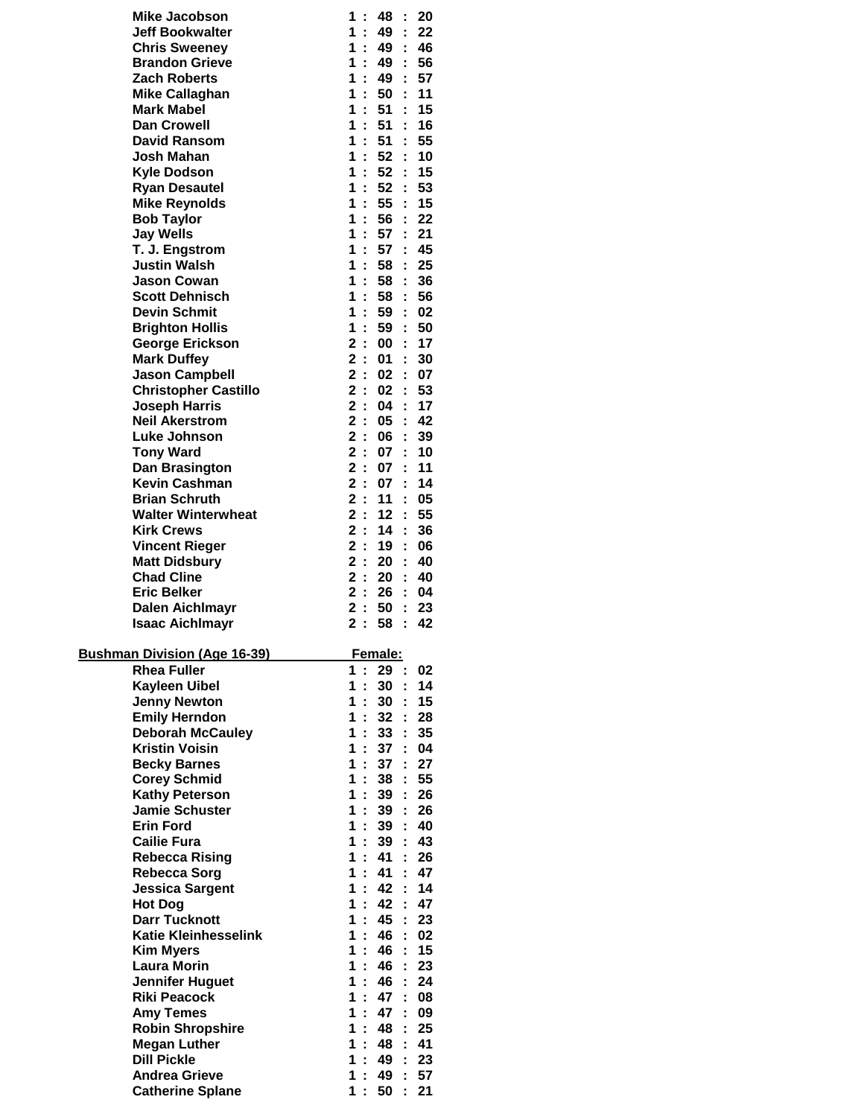| <b>Mike Jacobson</b>                            | 1              | ÷                   | 48              | 20<br>÷              |  |
|-------------------------------------------------|----------------|---------------------|-----------------|----------------------|--|
| <b>Jeff Bookwalter</b>                          | 1              | ÷                   | 49              | 22<br>÷.             |  |
| <b>Chris Sweenev</b>                            | 1              | ÷                   | 49              | 46<br>÷.             |  |
| <b>Brandon Grieve</b>                           | 1.             |                     | 49              | 56<br>÷              |  |
| Zach Roberts                                    | 1              | ř.                  | 49              | 57                   |  |
| <b>Mike Callaghan</b>                           | 1              | ÷                   | 50              | 11<br>÷              |  |
| <b>Mark Mabel</b>                               | 1              | ÷                   | 51              | 15<br>÷              |  |
| <b>Dan Crowell</b>                              | 1              | ÷.                  | 51              | 16<br>÷              |  |
| <b>David Ransom</b><br>Josh Mahan               | 1.<br>1.       | ÷                   | 51<br>52        | 55<br>÷              |  |
| <b>Kyle Dodson</b>                              | 1              | ÷                   | 52              | 10<br>÷<br>15<br>÷   |  |
| <b>Ryan Desautel</b>                            | 1              | ř.                  | 52              | 53<br>t              |  |
| <b>Mike Reynolds</b>                            | 1              | ÷                   | 55              | 15<br>÷              |  |
| <b>Bob Taylor</b>                               | 1              | ÷                   | 56              | 22<br>÷              |  |
| <b>Jay Wells</b>                                | 1              | Ì.                  | 57              | 21<br>÷              |  |
| T. J. Engstrom                                  | 1              |                     | 57              | 45<br>÷              |  |
| <b>Justin Walsh</b>                             | 1              |                     | 58              | 25                   |  |
| <b>Jason Cowan</b>                              | 1              |                     | 58              | 36                   |  |
| <b>Scott Dehnisch</b>                           | 1              | ÷                   | 58              | 56<br>÷              |  |
| <b>Devin Schmit</b>                             | 1              | ÷                   | 59              | ÷.<br>02             |  |
| <b>Brighton Hollis</b>                          | 1              | ÷                   | 59              | 50<br>÷              |  |
| <b>George Erickson</b>                          | 2:             |                     | 00              | 17<br>÷              |  |
| <b>Mark Duffey</b>                              |                | 2:                  | 01              | 30                   |  |
| <b>Jason Campbell</b>                           |                | 2:                  | 02              | 07<br>t              |  |
| <b>Christopher Castillo</b>                     |                | 2:                  | 02              | 53<br>÷              |  |
| <b>Joseph Harris</b>                            | $\overline{2}$ | $\mathcal{L}^{\pm}$ | 04              | ř.<br>17             |  |
| <b>Neil Akerstrom</b>                           |                | 2:                  | 05              | 42<br>÷              |  |
| Luke Johnson                                    | 2:             |                     | 06              | 39<br>÷              |  |
| <b>Tony Ward</b>                                | $\mathbf{2}$   | $\mathbf{r}$        | 07              | 10<br>÷              |  |
| Dan Brasington                                  |                | 2:<br>2:            | 07<br>07        | 11<br>÷<br>14        |  |
| <b>Kevin Cashman</b><br><b>Brian Schruth</b>    |                | 2:                  | 11              | 05<br>÷              |  |
| <b>Walter Winterwheat</b>                       |                | 2:                  | 12              | 55<br>÷              |  |
| <b>Kirk Crews</b>                               | 2:             |                     | 14              | 36<br>t              |  |
| <b>Vincent Rieger</b>                           | 2:             |                     | 19              | 06<br>÷              |  |
| <b>Matt Didsbury</b>                            |                | 2:                  | 20              | 40<br>÷              |  |
| <b>Chad Cline</b>                               | 2:             |                     | 20              | 40                   |  |
| Eric Belker                                     |                | 2:                  | 26              | ÷<br>04              |  |
| <b>Dalen Aichlmayr</b>                          |                | 2:                  | 50              | 23<br>÷.             |  |
| <b>Isaac Aichlmayr</b>                          | $\overline{2}$ | ÷                   | 58              | 42<br>÷              |  |
|                                                 |                |                     |                 |                      |  |
| <b>Bushman Division (Age 16-39)</b>             |                |                     | Female:         |                      |  |
| <b>Rhea Fuller</b>                              | 1.             | ÷.                  | 29              | 02<br>t              |  |
| <b>Kayleen Uibel</b>                            | 1              | ř.                  | 30              | 14<br>÷              |  |
| <b>Jenny Newton</b>                             | 1              | ÷.                  | 30              | ÷.<br>15             |  |
| <b>Emily Herndon</b>                            | 1              | ÷.                  | 32 <sub>2</sub> | t.<br>28             |  |
| <b>Deborah McCauley</b>                         | 1.             | ÷.                  | 33 <sup>2</sup> | 35<br>t.             |  |
| <b>Kristin Voisin</b>                           | 1<br>1         | ÷                   | 37<br>37        | 04<br>t.<br>27       |  |
| <b>Becky Barnes</b><br><b>Corey Schmid</b>      | 1              | ÷.                  | 38              | ÷<br>55<br>÷         |  |
| <b>Kathy Peterson</b>                           | 1              | ÷                   | 39              | 26<br>ř.             |  |
| <b>Jamie Schuster</b>                           | 1              | ÷.                  | 39              | ÷.<br>26             |  |
| <b>Erin Ford</b>                                | 1              | ÷.                  | 39              | 40<br>t.             |  |
| <b>Cailie Fura</b>                              | 1              |                     | 39              | 43<br>t.             |  |
| <b>Rebecca Rising</b>                           | 1              | ÷                   | 41              | 26<br>÷.             |  |
| <b>Rebecca Sorg</b>                             | 1              | ÷.                  | 41              | 47<br>ř.             |  |
| <b>Jessica Sargent</b>                          | 1              | ÷.                  | 42              | 14<br>ř.             |  |
| <b>Hot Dog</b>                                  | 1              | ÷.                  | 42              | 47<br>÷.             |  |
| <b>Darr Tucknott</b>                            | 1              | ÷.                  | 45              | 23<br>t.             |  |
| Katie Kleinhesselink                            | 1.             |                     | 46              | 02<br>t.             |  |
| <b>Kim Myers</b>                                | 1              | ÷                   | 46              | 15<br>t.             |  |
| <b>Laura Morin</b>                              | 1              | ÷.                  | 46              | 23<br>t.             |  |
| <b>Jennifer Huguet</b>                          | 1              | ÷.                  | 46              | 24<br>÷.             |  |
| <b>Riki Peacock</b>                             | 1              | ÷.                  | 47              | ÷.<br>08             |  |
|                                                 |                | ÷.                  | 47              | 09<br>÷.             |  |
| <b>Amy Temes</b>                                | 1              |                     |                 |                      |  |
| <b>Robin Shropshire</b>                         | 1.             | ÷                   | 48              | 25<br>t.             |  |
| <b>Megan Luther</b>                             | 1              | ÷                   | 48              | 41<br>÷.             |  |
| <b>Dill Pickle</b>                              | 1              | ÷.                  | 49              | 23<br>t.             |  |
| <b>Andrea Grieve</b><br><b>Catherine Splane</b> | 1<br>1.        | ÷.<br>÷.            | 49<br>50        | 57<br>÷.<br>÷.<br>21 |  |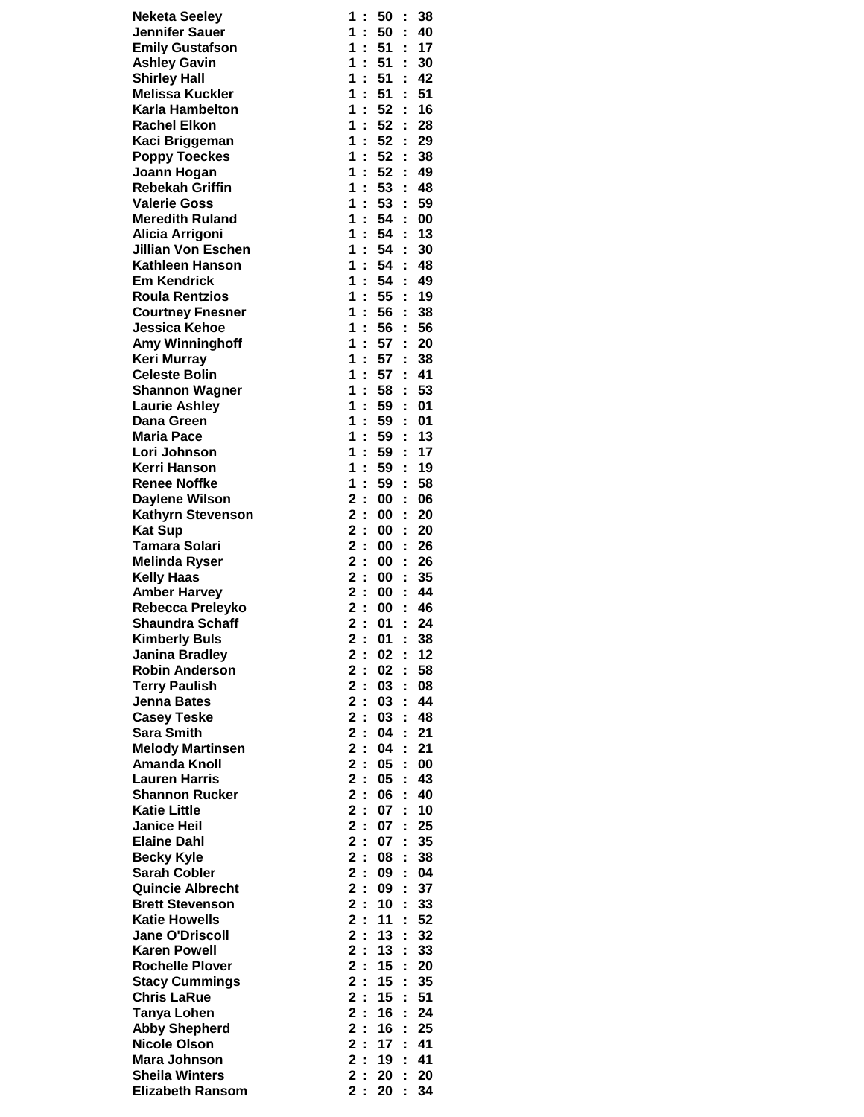| <b>Neketa Seeley</b>                           | 1<br>t                                                              | 50<br>t            | 38       |
|------------------------------------------------|---------------------------------------------------------------------|--------------------|----------|
| <b>Jennifer Sauer</b>                          | ř,<br>1.                                                            | 50<br>Ì,           | 40       |
| <b>Emily Gustafson</b>                         | 1.<br>÷.                                                            | 51<br>÷            | $-17$    |
| <b>Ashley Gavin</b>                            | 1.<br>÷<br>1                                                        | 51<br>t            | 30       |
| <b>Shirley Hall</b><br><b>Melissa Kuckler</b>  | ÷<br>1<br>÷                                                         | 51<br>t<br>51      | 42<br>51 |
| Karla Hambelton                                | $\mathbf 1$<br>ċ                                                    | ÷<br>52<br>t       | 16       |
| <b>Rachel Elkon</b>                            | $\mathbf 1$<br>ċ                                                    | 52<br>t            | 28       |
| Kaci Briggeman                                 | 1.<br>÷                                                             | 52<br>÷            | 29       |
| <b>Poppy Toeckes</b>                           | $\mathbf{1}$<br>÷                                                   | 52<br>÷            | 38       |
| Joann Hogan                                    | 1<br>÷                                                              | 52<br>t            | 49       |
| <b>Rebekah Griffin</b>                         | $\mathbf{1}$<br>÷.                                                  | 53<br>t            | 48       |
| <b>Valerie Goss</b>                            | $\mathbf 1$                                                         | 53                 | 59       |
| <b>Meredith Ruland</b>                         | $\mathbf 1$<br>ř,                                                   | 54<br>t            | 00       |
| Alicia Arrigoni                                | $\mathbf 1$<br>÷.                                                   | 54<br>ř.           | - 13     |
| <b>Jillian Von Eschen</b>                      | $\mathbf 1$<br>÷                                                    | 54<br>÷            | 30       |
| Kathleen Hanson                                | 1<br>÷                                                              | 54<br>t            | 48       |
| <b>Em Kendrick</b>                             | 1.<br>t,                                                            | 54<br>t            | 49       |
| <b>Roula Rentzios</b>                          | 1<br>t                                                              | 55<br>t            | 19       |
| <b>Courtney Fnesner</b>                        | 1.<br>ċ                                                             | 56<br>t            | 38       |
| <b>Jessica Kehoe</b>                           | $\mathbf{1}$<br>ř.                                                  | 56<br>Ì.           | 56       |
| <b>Amy Winninghoff</b>                         | 1<br>÷<br>1                                                         | 57:<br>57          | 20       |
| <b>Keri Murray</b><br><b>Celeste Bolin</b>     | ÷<br>$\mathbf{1}$                                                   | ÷.<br>57           | 38<br>41 |
| <b>Shannon Wagner</b>                          | t,<br>1<br>÷                                                        | t,<br>58           | 53       |
| <b>Laurie Ashley</b>                           | $\mathbf 1$<br>Ì.                                                   | 59<br>Ì.           | 01       |
| Dana Green                                     | ċ,<br>1.                                                            | 59<br>ċ            | 01       |
| <b>Maria Pace</b>                              | $\mathbf 1$<br>ř,                                                   | 59<br>÷            | 13       |
| Lori Johnson                                   | 1<br>÷                                                              | 59<br>t            | 17       |
| Kerri Hanson                                   | 1<br>÷                                                              | 59<br>t            | 19       |
| <b>Renee Noffke</b>                            | 1<br>÷                                                              | 59<br>t            | 58       |
| <b>Daylene Wilson</b>                          | 2:                                                                  | 00<br>t            | 06       |
| <b>Kathyrn Stevenson</b>                       | 2:                                                                  | 00<br>Ì.           | 20       |
| <b>Kat Sup</b>                                 | 2:                                                                  | 00<br>÷            | 20       |
| <b>Tamara Solari</b>                           | 2:                                                                  | 00<br>÷            | 26       |
| <b>Melinda Ryser</b>                           | $\overline{\mathbf{2}}$<br>$\ddot{\phantom{a}}$                     | 00<br>t            | 26       |
| <b>Kelly Haas</b>                              | 2:                                                                  | 00                 | 35       |
| <b>Amber Harvey</b>                            | 2:                                                                  | $00\,$<br>t        | 44       |
| Rebecca Preleyko                               | 2:                                                                  | 00<br>÷            | - 46     |
| <b>Shaundra Schaff</b>                         | 2:                                                                  | 01                 | : 24     |
| <b>Kimberly Buls</b>                           | $\overline{2}$<br>÷.                                                | 01                 | 38<br>t. |
| <b>Janina Bradley</b><br><b>Robin Anderson</b> | 2<br>÷<br>$\mathbf 2$<br>$\ddot{\phantom{a}}$                       | 02<br>÷            | 12<br>58 |
| <b>Terry Paulish</b>                           | 2:                                                                  | 02<br>t<br>03<br>t | 08       |
| <b>Jenna Bates</b>                             |                                                                     |                    |          |
|                                                |                                                                     |                    |          |
|                                                | 2:                                                                  | 03<br>t            | 44       |
| <b>Casey Teske</b>                             | $\overline{\mathbf{2}}$<br>$\overline{1}$                           | 03<br>t            | 48       |
| <b>Sara Smith</b>                              | $\overline{\mathbf{2}}$<br>÷                                        | 04<br>t            | 21       |
| <b>Melody Martinsen</b><br><b>Amanda Knoll</b> | $\overline{\mathbf{2}}$<br>$\ddot{\phantom{a}}$                     | 04<br>t<br>t       | 21       |
| <b>Lauren Harris</b>                           | $\overline{\mathbf{2}}$<br>÷<br>$\mathbf 2$<br>$\ddot{\phantom{a}}$ | 05<br>05<br>t      | 00<br>43 |
| <b>Shannon Rucker</b>                          | $\overline{\mathbf{2}}$                                             | 06<br>t            | 40       |
| <b>Katie Little</b>                            | $\overline{\mathbf{2}}$<br>Ì.                                       | ċ<br>07            | 10       |
| <b>Janice Heil</b>                             | $\overline{\mathbf{2}}$<br>÷                                        | 07<br>t            | 25       |
| <b>Elaine Dahl</b>                             | $\overline{2}$<br>÷                                                 | 07<br>t            | 35       |
| <b>Becky Kyle</b>                              | $\overline{\mathbf{2}}$<br>$\ddot{\phantom{a}}$                     | 08<br>t            | 38       |
| <b>Sarah Cobler</b>                            | $\overline{\mathbf{2}}$<br>÷                                        | 09<br>t            | 04       |
| <b>Quincie Albrecht</b>                        | $\overline{\mathbf{2}}$<br>$\ddot{\phantom{a}}$                     | 09<br>t            | 37       |
| <b>Brett Stevenson</b>                         | $\overline{\mathbf{2}}$<br>$\ddot{\phantom{a}}$                     | 10<br>Ì.           | 33       |
| <b>Katie Howells</b>                           | $\overline{\mathbf{2}}$<br>$\ddot{\phantom{a}}$                     | 11<br>t            | 52       |
| <b>Jane O'Driscoll</b>                         | $\overline{\mathbf{2}}$<br>$\ddot{\phantom{a}}$                     | 13<br>t            | 32       |
| <b>Karen Powell</b>                            | $\overline{\mathbf{2}}$<br>$\ddot{\phantom{a}}$                     | 13<br>t            | 33       |
| <b>Rochelle Plover</b>                         | 2:                                                                  | 15<br>Ì            | 20       |
| <b>Stacy Cummings</b>                          | 2:                                                                  | 15<br>t            | 35       |
| <b>Chris LaRue</b>                             | $\overline{\mathbf{2}}$<br>$\ddot{\phantom{a}}$                     | 15<br>Ì.           | 51       |
| <b>Tanya Lohen</b>                             | $\overline{\mathbf{2}}$<br>$\mathbb{R}^2$                           | Ì.<br>16           | 24       |
| <b>Abby Shepherd</b><br><b>Nicole Olson</b>    | $\mathbf 2$<br>$\ddot{\phantom{a}}$<br>2<br>÷                       | t<br>16<br>17<br>t | 25<br>41 |
| Mara Johnson                                   | 2:                                                                  | 19<br>t            | 41       |
| <b>Sheila Winters</b>                          | 2:                                                                  | 20                 | 20       |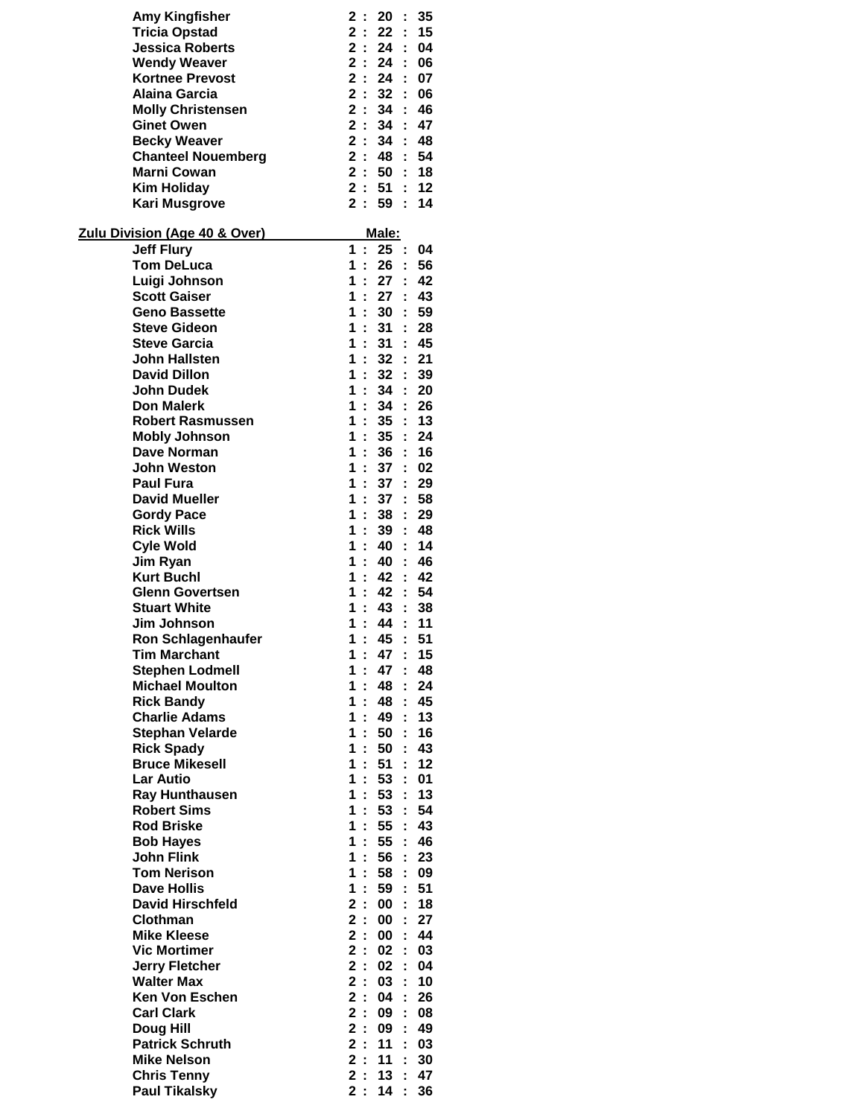| <b>Amy Kingfisher</b>                      | 2<br>$\ddot{\phantom{a}}$        | 20              | 35<br>t            |
|--------------------------------------------|----------------------------------|-----------------|--------------------|
| <b>Tricia Opstad</b>                       | 2:                               | 22:             | 15                 |
| <b>Jessica Roberts</b>                     | 2:                               | 24              | 04<br>÷            |
| <b>Wendy Weaver</b>                        | 2:                               | 24              | 06<br>÷            |
| <b>Kortnee Prevost</b>                     | 2:                               | 24              | 07<br>÷            |
| <b>Alaina Garcia</b>                       | 2:                               | 32              | 06                 |
| <b>Molly Christensen</b>                   | 2:                               | 34              | ÷<br>46            |
| <b>Ginet Owen</b>                          | 2:                               | $34$ :          | 47                 |
| <b>Becky Weaver</b>                        | 2:                               | $34$ :          | 48                 |
| <b>Chanteel Nouemberg</b>                  | 2:                               | 48              | 54<br>÷            |
| <b>Marni Cowan</b>                         | 2:                               | 50              | 18<br>÷            |
| <b>Kim Holiday</b>                         | 2:                               | 51              | 12                 |
| Kari Musgrove                              | 2:                               | 59              | 14<br>÷.           |
|                                            |                                  |                 |                    |
| <u> Zulu Division (Age 40 &amp; Over)</u>  |                                  | <u>Male:</u>    |                    |
| <b>Jeff Flury</b>                          | 1<br>$\mathcal{L}_{\mathcal{A}}$ | 25:<br>26       | 04                 |
| <b>Tom DeLuca</b>                          | 1<br>÷<br>1                      | 27              | 56<br>42           |
| Luigi Johnson<br><b>Scott Gaiser</b>       | ÷<br>1                           | 27              | ÷<br>43<br>÷       |
| <b>Geno Bassette</b>                       | ÷<br>1<br>$\mathbf{r}$           | 30              | 59<br>÷            |
| <b>Steve Gideon</b>                        | 1<br>÷                           | 31              | ÷<br>28            |
| <b>Steve Garcia</b>                        | 1<br>$\cdot$ :                   | 31              | 45<br>÷            |
| John Hallsten                              | 1<br>$\ddot{\phantom{a}}$        | 32              | 21<br>÷            |
| <b>David Dillon</b>                        | 1<br>÷                           | 32              | 39<br>÷            |
| <b>John Dudek</b>                          | 1<br>÷                           | 34              | 20<br>÷            |
| <b>Don Malerk</b>                          | 1<br>÷                           | 34:             | 26                 |
| <b>Robert Rasmussen</b>                    | 1<br>÷                           | 35              | 13<br>$\mathbf{r}$ |
| <b>Mobly Johnson</b>                       | 1<br>÷                           | 35              | 24<br>÷            |
| Dave Norman                                | 1<br>$\ddot{\phantom{a}}$        | 36              | 16<br>t            |
| <b>John Weston</b>                         | 1<br>÷                           | 37              | 02<br>÷            |
| <b>Paul Fura</b>                           | 1<br>÷                           | 37              | 29                 |
| <b>David Mueller</b>                       | 1<br>$\ddot{\phantom{a}}$        | 37              | 58<br>t            |
| <b>Gordy Pace</b>                          | 1<br>÷                           | 38              | 29<br>÷            |
| <b>Rick Wills</b>                          | 1<br>÷                           | 39              | 48<br>÷            |
| <b>Cyle Wold</b>                           | 1<br>$\cdot$ :                   | 40              | 14                 |
| Jim Ryan                                   | 1<br>÷                           | 40              | 46<br>÷            |
| <b>Kurt Buchl</b>                          | 1<br>÷                           | 42              | 42<br>÷            |
| <b>Glenn Govertsen</b>                     | 1<br>$\mathbf{r}$                | 42              | ÷<br>54            |
| <b>Stuart White</b>                        | 1<br>$\mathbf{r}$                | 43              | 38<br>÷            |
| Jim Johnson                                | 1<br>ř.                          | 44              | ÷.<br>11           |
| <b>Ron Schlagenhaufer</b>                  | 1<br>t.                          | 45              | 51<br>÷.           |
| <b>Tim Marchant</b>                        | 1<br>÷,                          | 47              | 15                 |
| <b>Stephen Lodmell</b>                     | 1<br>÷                           | 47              | 48<br>t            |
| <b>Michael Moulton</b>                     | 1<br>$\sim$                      | 48              | 24<br>÷            |
| <b>Rick Bandy</b>                          | 1<br>$\mathbf{r}$                | 48              | ř,<br>45           |
| <b>Charlie Adams</b>                       | 1<br>$\mathbf{r}$                | 49              | ř.<br>13           |
| <b>Stephan Velarde</b>                     | 1:                               | 50              | 16<br>÷            |
| <b>Rick Spady</b>                          | 1<br>$\cdot$ :                   | 50              | 43<br>t            |
| <b>Bruce Mikesell</b>                      | 1<br>$\cdot$ :                   | 51              | 12<br>÷            |
| <b>Lar Autio</b>                           | 1<br>÷.                          | 53              | 01<br>Ì.           |
| <b>Ray Hunthausen</b>                      | 1<br>$\ddot{\phantom{a}}$        | 53              | Ì.<br>13           |
| <b>Robert Sims</b>                         | 1<br>$\mathbf{r}$                | 53              | 54<br>÷            |
| <b>Rod Briske</b>                          | 1<br>$\mathbf{r}$                | 55              | 43<br>÷            |
| <b>Bob Hayes</b>                           | 1<br>÷                           | 55              | 46<br>÷            |
| <b>John Flink</b>                          | 1<br>$\mathcal{I}$               | 56              | 23<br>÷            |
| <b>Tom Nerison</b>                         | 1<br>$\mathbf{r}$                | 58              | 09                 |
| <b>Dave Hollis</b>                         | 1<br>$\ddot{\phantom{a}}$        | 59              | 51<br>ř.           |
| <b>David Hirschfeld</b>                    | $\mathbf 2$<br>$\mathcal{L}$     | 00              | ÷.<br>18           |
| Clothman                                   | 2:                               | 00              | 27<br>÷            |
| <b>Mike Kleese</b>                         | $\mathbf 2$<br>÷                 | 00              | 44<br>t            |
| <b>Vic Mortimer</b>                        | 2:                               | 02              | 03<br>÷            |
| <b>Jerry Fletcher</b>                      | 2:                               | 02              | 04<br>÷            |
| <b>Walter Max</b>                          | 2:                               | 03              | Ì.<br>10           |
| <b>Ken Von Eschen</b><br><b>Carl Clark</b> | 2:<br>2:                         | 04              | ř,<br>26           |
|                                            | 2:                               | 09<br>09        | 08<br>÷<br>49      |
| Doug Hill<br><b>Patrick Schruth</b>        | 2:                               | 11              | ÷<br>03            |
| <b>Mike Nelson</b>                         | 2:                               | 11              | 30<br>t            |
| <b>Chris Tenny</b>                         | 2:                               | 13 <sup>1</sup> | ř.<br>47           |
| <b>Paul Tikalsky</b>                       | 2:                               | 14              | ÷.<br>36           |
|                                            |                                  |                 |                    |